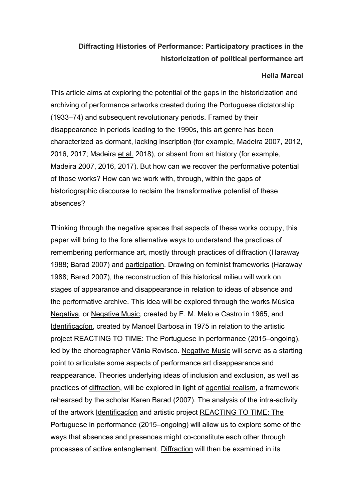# Diffracting Histories of Performance: Participatory practices in the historicization of political performance art

#### Helia Marcal

This article aims at exploring the potential of the gaps in the historicization and archiving of performance artworks created during the Portuguese dictatorship (1933–74) and subsequent revolutionary periods. Framed by their disappearance in periods leading to the 1990s, this art genre has been characterized as dormant, lacking inscription (for example, Madeira 2007, 2012, 2016, 2017; Madeira et al. 2018), or absent from art history (for example, Madeira 2007, 2016, 2017). But how can we recover the performative potential of those works? How can we work with, through, within the gaps of historiographic discourse to reclaim the transformative potential of these absences?

Thinking through the negative spaces that aspects of these works occupy, this paper will bring to the fore alternative ways to understand the practices of remembering performance art, mostly through practices of diffraction (Haraway 1988; Barad 2007) and participation. Drawing on feminist frameworks (Haraway 1988; Barad 2007), the reconstruction of this historical milieu will work on stages of appearance and disappearance in relation to ideas of absence and the performative archive. This idea will be explored through the works Música Negativa, or Negative Music, created by E. M. Melo e Castro in 1965, and Identificacíon, created by Manoel Barbosa in 1975 in relation to the artistic project REACTING TO TIME: The Portuguese in performance (2015–ongoing), led by the choreographer Vânia Rovisco. Negative Music will serve as a starting point to articulate some aspects of performance art disappearance and reappearance. Theories underlying ideas of inclusion and exclusion, as well as practices of diffraction, will be explored in light of agential realism, a framework rehearsed by the scholar Karen Barad (2007). The analysis of the intra-activity of the artwork Identificacíon and artistic project REACTING TO TIME: The Portuguese in performance (2015–ongoing) will allow us to explore some of the ways that absences and presences might co-constitute each other through processes of active entanglement. Diffraction will then be examined in its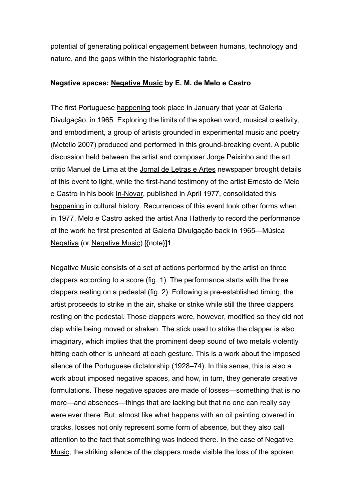potential of generating political engagement between humans, technology and nature, and the gaps within the historiographic fabric.

### Negative spaces: Negative Music by E. M. de Melo e Castro

The first Portuguese happening took place in January that year at Galeria Divulgação, in 1965. Exploring the limits of the spoken word, musical creativity, and embodiment, a group of artists grounded in experimental music and poetry (Metello 2007) produced and performed in this ground-breaking event. A public discussion held between the artist and composer Jorge Peixinho and the art critic Manuel de Lima at the Jornal de Letras e Artes newspaper brought details of this event to light, while the first-hand testimony of the artist Ernesto de Melo e Castro in his book In-Novar, published in April 1977, consolidated this happening in cultural history. Recurrences of this event took other forms when, in 1977, Melo e Castro asked the artist Ana Hatherly to record the performance of the work he first presented at Galeria Divulgação back in 1965—Música Negativa (or Negative Music).[{note}]1

Negative Music consists of a set of actions performed by the artist on three clappers according to a score (fig. 1). The performance starts with the three clappers resting on a pedestal (fig. 2). Following a pre-established timing, the artist proceeds to strike in the air, shake or strike while still the three clappers resting on the pedestal. Those clappers were, however, modified so they did not clap while being moved or shaken. The stick used to strike the clapper is also imaginary, which implies that the prominent deep sound of two metals violently hitting each other is unheard at each gesture. This is a work about the imposed silence of the Portuguese dictatorship (1928–74). In this sense, this is also a work about imposed negative spaces, and how, in turn, they generate creative formulations. These negative spaces are made of losses—something that is no more—and absences—things that are lacking but that no one can really say were ever there. But, almost like what happens with an oil painting covered in cracks, losses not only represent some form of absence, but they also call attention to the fact that something was indeed there. In the case of Negative Music, the striking silence of the clappers made visible the loss of the spoken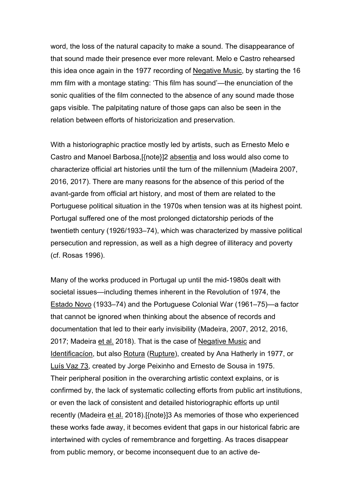word, the loss of the natural capacity to make a sound. The disappearance of that sound made their presence ever more relevant. Melo e Castro rehearsed this idea once again in the 1977 recording of Negative Music, by starting the 16 mm film with a montage stating: 'This film has sound'—the enunciation of the sonic qualities of the film connected to the absence of any sound made those gaps visible. The palpitating nature of those gaps can also be seen in the relation between efforts of historicization and preservation.

With a historiographic practice mostly led by artists, such as Ernesto Melo e Castro and Manoel Barbosa,[{note}]2 absentia and loss would also come to characterize official art histories until the turn of the millennium (Madeira 2007, 2016, 2017). There are many reasons for the absence of this period of the avant-garde from official art history, and most of them are related to the Portuguese political situation in the 1970s when tension was at its highest point. Portugal suffered one of the most prolonged dictatorship periods of the twentieth century (1926/1933–74), which was characterized by massive political persecution and repression, as well as a high degree of illiteracy and poverty (cf. Rosas 1996).

Many of the works produced in Portugal up until the mid-1980s dealt with societal issues—including themes inherent in the Revolution of 1974, the Estado Novo (1933–74) and the Portuguese Colonial War (1961–75)—a factor that cannot be ignored when thinking about the absence of records and documentation that led to their early invisibility (Madeira, 2007, 2012, 2016, 2017; Madeira et al. 2018). That is the case of Negative Music and Identificacíon, but also Rotura (Rupture), created by Ana Hatherly in 1977, or Luís Vaz 73, created by Jorge Peixinho and Ernesto de Sousa in 1975. Their peripheral position in the overarching artistic context explains, or is confirmed by, the lack of systematic collecting efforts from public art institutions, or even the lack of consistent and detailed historiographic efforts up until recently (Madeira et al. 2018).[{note}]3 As memories of those who experienced these works fade away, it becomes evident that gaps in our historical fabric are intertwined with cycles of remembrance and forgetting. As traces disappear from public memory, or become inconsequent due to an active de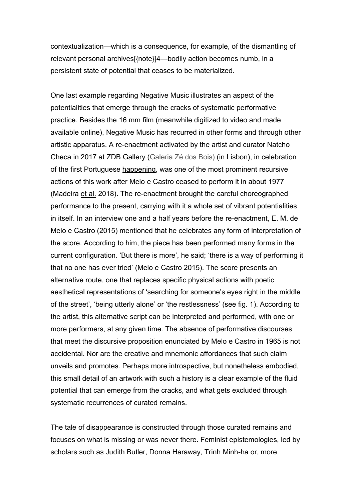contextualization—which is a consequence, for example, of the dismantling of relevant personal archives[{note}]4—bodily action becomes numb, in a persistent state of potential that ceases to be materialized.

One last example regarding Negative Music illustrates an aspect of the potentialities that emerge through the cracks of systematic performative practice. Besides the 16 mm film (meanwhile digitized to video and made available online), Negative Music has recurred in other forms and through other artistic apparatus. A re-enactment activated by the artist and curator Natcho Checa in 2017 at ZDB Gallery (Galeria Zé dos Bois) (in Lisbon), in celebration of the first Portuguese happening, was one of the most prominent recursive actions of this work after Melo e Castro ceased to perform it in about 1977 (Madeira et al. 2018). The re-enactment brought the careful choreographed performance to the present, carrying with it a whole set of vibrant potentialities in itself. In an interview one and a half years before the re-enactment, E. M. de Melo e Castro (2015) mentioned that he celebrates any form of interpretation of the score. According to him, the piece has been performed many forms in the current configuration. 'But there is more', he said; 'there is a way of performing it that no one has ever tried' (Melo e Castro 2015). The score presents an alternative route, one that replaces specific physical actions with poetic aesthetical representations of 'searching for someone's eyes right in the middle of the street', 'being utterly alone' or 'the restlessness' (see fig. 1). According to the artist, this alternative script can be interpreted and performed, with one or more performers, at any given time. The absence of performative discourses that meet the discursive proposition enunciated by Melo e Castro in 1965 is not accidental. Nor are the creative and mnemonic affordances that such claim unveils and promotes. Perhaps more introspective, but nonetheless embodied, this small detail of an artwork with such a history is a clear example of the fluid potential that can emerge from the cracks, and what gets excluded through systematic recurrences of curated remains.

The tale of disappearance is constructed through those curated remains and focuses on what is missing or was never there. Feminist epistemologies, led by scholars such as Judith Butler, Donna Haraway, Trinh Minh-ha or, more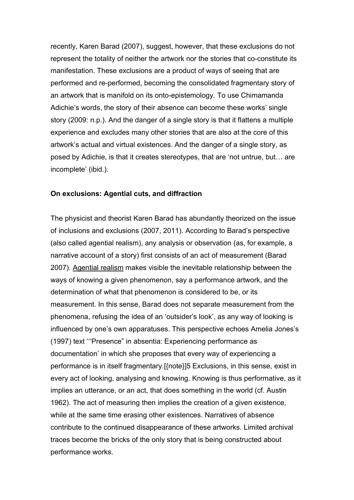recently, Karen Barad (2007), suggest, however, that these exclusions do not represent the totality of neither the artwork nor the stories that co-constitute its manifestation. These exclusions are a product of ways of seeing that are performed and re-performed, becoming the consolidated fragmentary story of an artwork that is manifold on its onto-epistemology. To use Chimamanda Adichie's words, the story of their absence can become these works' single story (2009: n.p.). And the danger of a single story is that it flattens a multiple experience and excludes many other stories that are also at the core of this artwork's actual and virtual existences. And the danger of a single story, as posed by Adichie, is that it creates stereotypes, that are 'not untrue, but… are incomplete' (ibid.).

#### On exclusions: Agential cuts, and diffraction

The physicist and theorist Karen Barad has abundantly theorized on the issue of inclusions and exclusions (2007, 2011). According to Barad's perspective (also called agential realism), any analysis or observation (as, for example, a narrative account of a story) first consists of an act of measurement (Barad 2007). Agential realism makes visible the inevitable relationship between the ways of knowing a given phenomenon, say a performance artwork, and the determination of what that phenomenon is considered to be, or its measurement. In this sense, Barad does not separate measurement from the phenomena, refusing the idea of an 'outsider's look', as any way of looking is influenced by one's own apparatuses. This perspective echoes Amelia Jones's (1997) text '''Presence" in absentia: Experiencing performance as documentation' in which she proposes that every way of experiencing a performance is in itself fragmentary.[{note}]5 Exclusions, in this sense, exist in every act of looking, analysing and knowing. Knowing is thus performative, as it implies an utterance, or an act, that does something in the world (cf. Austin 1962). The act of measuring then implies the creation of a given existence, while at the same time erasing other existences. Narratives of absence contribute to the continued disappearance of these artworks. Limited archival traces become the bricks of the only story that is being constructed about performance works.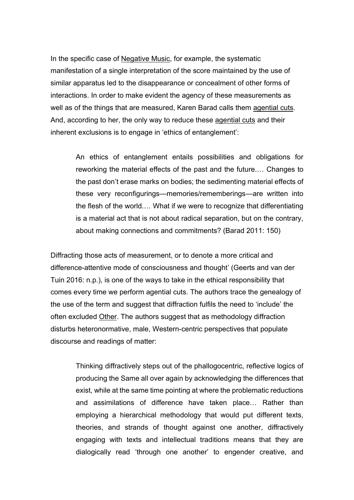In the specific case of Negative Music, for example, the systematic manifestation of a single interpretation of the score maintained by the use of similar apparatus led to the disappearance or concealment of other forms of interactions. In order to make evident the agency of these measurements as well as of the things that are measured, Karen Barad calls them agential cuts. And, according to her, the only way to reduce these agential cuts and their inherent exclusions is to engage in 'ethics of entanglement':

> An ethics of entanglement entails possibilities and obligations for reworking the material effects of the past and the future.… Changes to the past don't erase marks on bodies; the sedimenting material effects of these very reconfigurings—memories/rememberings—are written into the flesh of the world.… What if we were to recognize that differentiating is a material act that is not about radical separation, but on the contrary, about making connections and commitments? (Barad 2011: 150)

Diffracting those acts of measurement, or to denote a more critical and difference-attentive mode of consciousness and thought' (Geerts and van der Tuin 2016: n.p.), is one of the ways to take in the ethical responsibility that comes every time we perform agential cuts. The authors trace the genealogy of the use of the term and suggest that diffraction fulfils the need to 'include' the often excluded Other. The authors suggest that as methodology diffraction disturbs heteronormative, male, Western-centric perspectives that populate discourse and readings of matter:

Thinking diffractively steps out of the phallogocentric, reflective logics of producing the Same all over again by acknowledging the differences that exist, while at the same time pointing at where the problematic reductions and assimilations of difference have taken place… Rather than employing a hierarchical methodology that would put different texts, theories, and strands of thought against one another, diffractively engaging with texts and intellectual traditions means that they are dialogically read 'through one another' to engender creative, and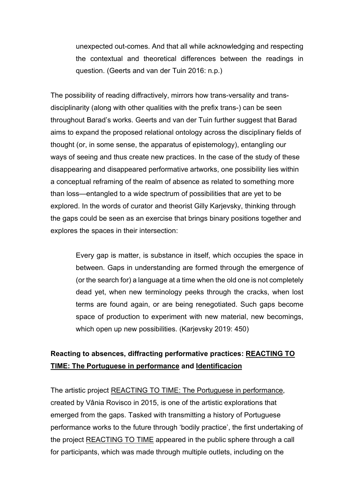unexpected out-comes. And that all while acknowledging and respecting the contextual and theoretical differences between the readings in question. (Geerts and van der Tuin 2016: n.p.)

The possibility of reading diffractively, mirrors how trans-versality and transdisciplinarity (along with other qualities with the prefix trans-) can be seen throughout Barad's works. Geerts and van der Tuin further suggest that Barad aims to expand the proposed relational ontology across the disciplinary fields of thought (or, in some sense, the apparatus of epistemology), entangling our ways of seeing and thus create new practices. In the case of the study of these disappearing and disappeared performative artworks, one possibility lies within a conceptual reframing of the realm of absence as related to something more than loss—entangled to a wide spectrum of possibilities that are yet to be explored. In the words of curator and theorist Gilly Karjevsky, thinking through the gaps could be seen as an exercise that brings binary positions together and explores the spaces in their intersection:

> Every gap is matter, is substance in itself, which occupies the space in between. Gaps in understanding are formed through the emergence of (or the search for) a language at a time when the old one is not completely dead yet, when new terminology peeks through the cracks, when lost terms are found again, or are being renegotiated. Such gaps become space of production to experiment with new material, new becomings, which open up new possibilities. (Karjevsky 2019: 450)

# Reacting to absences, diffracting performative practices: REACTING TO TIME: The Portuguese in performance and Identificacíon

The artistic project REACTING TO TIME: The Portuguese in performance, created by Vânia Rovisco in 2015, is one of the artistic explorations that emerged from the gaps. Tasked with transmitting a history of Portuguese performance works to the future through 'bodily practice', the first undertaking of the project REACTING TO TIME appeared in the public sphere through a call for participants, which was made through multiple outlets, including on the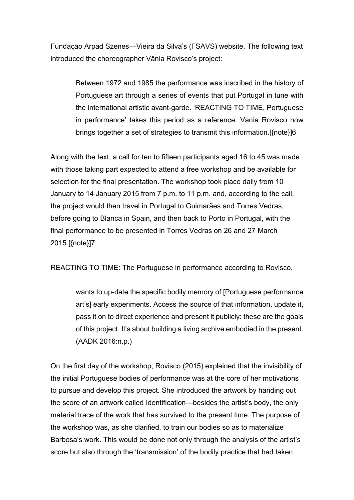Fundação Arpad Szenes—Vieira da Silva's (FSAVS) website. The following text introduced the choreographer Vânia Rovisco's project:

Between 1972 and 1985 the performance was inscribed in the history of Portuguese art through a series of events that put Portugal in tune with the international artistic avant-garde. 'REACTING TO TIME, Portuguese in performance' takes this period as a reference. Vania Rovisco now brings together a set of strategies to transmit this information.[{note}]6

Along with the text, a call for ten to fifteen participants aged 16 to 45 was made with those taking part expected to attend a free workshop and be available for selection for the final presentation. The workshop took place daily from 10 January to 14 January 2015 from 7 p.m. to 11 p.m. and, according to the call, the project would then travel in Portugal to Guimarães and Torres Vedras, before going to Blanca in Spain, and then back to Porto in Portugal, with the final performance to be presented in Torres Vedras on 26 and 27 March 2015.[{note}]7

## REACTING TO TIME: The Portuguese in performance according to Rovisco,

wants to up-date the specific bodily memory of [Portuguese performance art's] early experiments. Access the source of that information, update it, pass it on to direct experience and present it publicly: these are the goals of this project. It's about building a living archive embodied in the present. (AADK 2016:n.p.)

On the first day of the workshop, Rovisco (2015) explained that the invisibility of the initial Portuguese bodies of performance was at the core of her motivations to pursue and develop this project. She introduced the artwork by handing out the score of an artwork called Identification—besides the artist's body, the only material trace of the work that has survived to the present time. The purpose of the workshop was, as she clarified, to train our bodies so as to materialize Barbosa's work. This would be done not only through the analysis of the artist's score but also through the 'transmission' of the bodily practice that had taken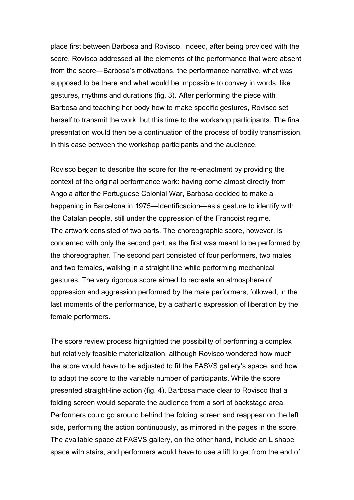place first between Barbosa and Rovisco. Indeed, after being provided with the score, Rovisco addressed all the elements of the performance that were absent from the score—Barbosa's motivations, the performance narrative, what was supposed to be there and what would be impossible to convey in words, like gestures, rhythms and durations (fig. 3). After performing the piece with Barbosa and teaching her body how to make specific gestures, Rovisco set herself to transmit the work, but this time to the workshop participants. The final presentation would then be a continuation of the process of bodily transmission, in this case between the workshop participants and the audience.

Rovisco began to describe the score for the re-enactment by providing the context of the original performance work: having come almost directly from Angola after the Portuguese Colonial War, Barbosa decided to make a happening in Barcelona in 1975—Identificacíon—as a gesture to identify with the Catalan people, still under the oppression of the Francoist regime. The artwork consisted of two parts. The choreographic score, however, is concerned with only the second part, as the first was meant to be performed by the choreographer. The second part consisted of four performers, two males and two females, walking in a straight line while performing mechanical gestures. The very rigorous score aimed to recreate an atmosphere of oppression and aggression performed by the male performers, followed, in the last moments of the performance, by a cathartic expression of liberation by the female performers.

The score review process highlighted the possibility of performing a complex but relatively feasible materialization, although Rovisco wondered how much the score would have to be adjusted to fit the FASVS gallery's space, and how to adapt the score to the variable number of participants. While the score presented straight-line action (fig. 4), Barbosa made clear to Rovisco that a folding screen would separate the audience from a sort of backstage area. Performers could go around behind the folding screen and reappear on the left side, performing the action continuously, as mirrored in the pages in the score. The available space at FASVS gallery, on the other hand, include an L shape space with stairs, and performers would have to use a lift to get from the end of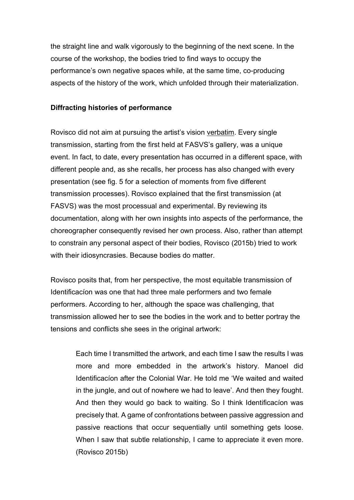the straight line and walk vigorously to the beginning of the next scene. In the course of the workshop, the bodies tried to find ways to occupy the performance's own negative spaces while, at the same time, co-producing aspects of the history of the work, which unfolded through their materialization.

## Diffracting histories of performance

Rovisco did not aim at pursuing the artist's vision verbatim. Every single transmission, starting from the first held at FASVS's gallery, was a unique event. In fact, to date, every presentation has occurred in a different space, with different people and, as she recalls, her process has also changed with every presentation (see fig. 5 for a selection of moments from five different transmission processes). Rovisco explained that the first transmission (at FASVS) was the most processual and experimental. By reviewing its documentation, along with her own insights into aspects of the performance, the choreographer consequently revised her own process. Also, rather than attempt to constrain any personal aspect of their bodies, Rovisco (2015b) tried to work with their idiosyncrasies. Because bodies do matter.

Rovisco posits that, from her perspective, the most equitable transmission of Identificacíon was one that had three male performers and two female performers. According to her, although the space was challenging, that transmission allowed her to see the bodies in the work and to better portray the tensions and conflicts she sees in the original artwork:

Each time I transmitted the artwork, and each time I saw the results I was more and more embedded in the artwork's history. Manoel did Identificacíon after the Colonial War. He told me 'We waited and waited in the jungle, and out of nowhere we had to leave'. And then they fought. And then they would go back to waiting. So I think Identificacíon was precisely that. A game of confrontations between passive aggression and passive reactions that occur sequentially until something gets loose. When I saw that subtle relationship, I came to appreciate it even more. (Rovisco 2015b)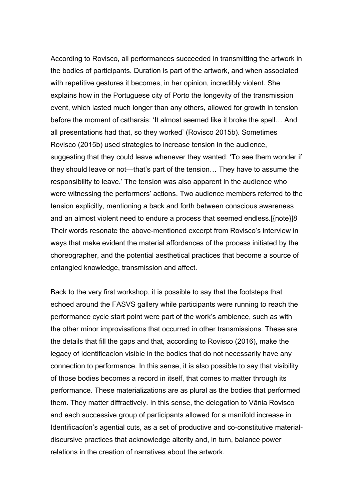According to Rovisco, all performances succeeded in transmitting the artwork in the bodies of participants. Duration is part of the artwork, and when associated with repetitive gestures it becomes, in her opinion, incredibly violent. She explains how in the Portuguese city of Porto the longevity of the transmission event, which lasted much longer than any others, allowed for growth in tension before the moment of catharsis: 'It almost seemed like it broke the spell… And all presentations had that, so they worked' (Rovisco 2015b). Sometimes Rovisco (2015b) used strategies to increase tension in the audience, suggesting that they could leave whenever they wanted: 'To see them wonder if they should leave or not—that's part of the tension… They have to assume the responsibility to leave.' The tension was also apparent in the audience who were witnessing the performers' actions. Two audience members referred to the tension explicitly, mentioning a back and forth between conscious awareness and an almost violent need to endure a process that seemed endless.[{note}]8 Their words resonate the above-mentioned excerpt from Rovisco's interview in ways that make evident the material affordances of the process initiated by the choreographer, and the potential aesthetical practices that become a source of entangled knowledge, transmission and affect.

Back to the very first workshop, it is possible to say that the footsteps that echoed around the FASVS gallery while participants were running to reach the performance cycle start point were part of the work's ambience, such as with the other minor improvisations that occurred in other transmissions. These are the details that fill the gaps and that, according to Rovisco (2016), make the legacy of Identificacíon visible in the bodies that do not necessarily have any connection to performance. In this sense, it is also possible to say that visibility of those bodies becomes a record in itself, that comes to matter through its performance. These materializations are as plural as the bodies that performed them. They matter diffractively. In this sense, the delegation to Vânia Rovisco and each successive group of participants allowed for a manifold increase in Identificacíon's agential cuts, as a set of productive and co-constitutive materialdiscursive practices that acknowledge alterity and, in turn, balance power relations in the creation of narratives about the artwork.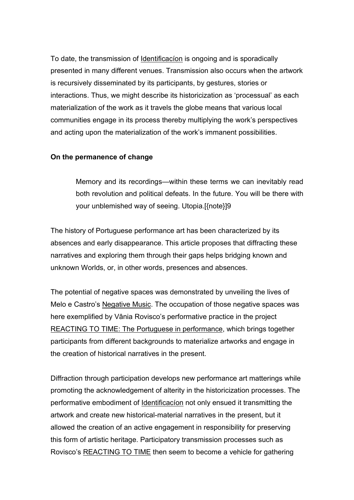To date, the transmission of Identificacíon is ongoing and is sporadically presented in many different venues. Transmission also occurs when the artwork is recursively disseminated by its participants, by gestures, stories or interactions. Thus, we might describe its historicization as 'processual' as each materialization of the work as it travels the globe means that various local communities engage in its process thereby multiplying the work's perspectives and acting upon the materialization of the work's immanent possibilities.

#### On the permanence of change

Memory and its recordings—within these terms we can inevitably read both revolution and political defeats. In the future. You will be there with your unblemished way of seeing. Utopia.[{note}]9

The history of Portuguese performance art has been characterized by its absences and early disappearance. This article proposes that diffracting these narratives and exploring them through their gaps helps bridging known and unknown Worlds, or, in other words, presences and absences.

The potential of negative spaces was demonstrated by unveiling the lives of Melo e Castro's Negative Music. The occupation of those negative spaces was here exemplified by Vânia Rovisco's performative practice in the project REACTING TO TIME: The Portuguese in performance, which brings together participants from different backgrounds to materialize artworks and engage in the creation of historical narratives in the present.

Diffraction through participation develops new performance art matterings while promoting the acknowledgement of alterity in the historicization processes. The performative embodiment of Identificacíon not only ensued it transmitting the artwork and create new historical-material narratives in the present, but it allowed the creation of an active engagement in responsibility for preserving this form of artistic heritage. Participatory transmission processes such as Rovisco's REACTING TO TIME then seem to become a vehicle for gathering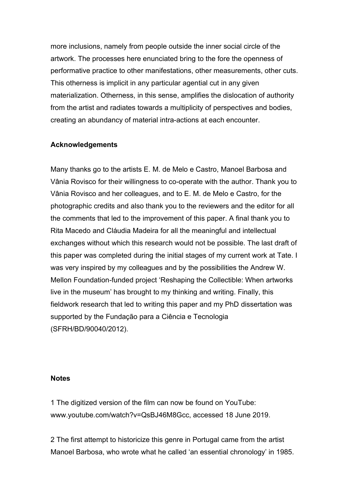more inclusions, namely from people outside the inner social circle of the artwork. The processes here enunciated bring to the fore the openness of performative practice to other manifestations, other measurements, other cuts. This otherness is implicit in any particular agential cut in any given materialization. Otherness, in this sense, amplifies the dislocation of authority from the artist and radiates towards a multiplicity of perspectives and bodies, creating an abundancy of material intra-actions at each encounter.

## Acknowledgements

Many thanks go to the artists E. M. de Melo e Castro, Manoel Barbosa and Vânia Rovisco for their willingness to co-operate with the author. Thank you to Vânia Rovisco and her colleagues, and to E. M. de Melo e Castro, for the photographic credits and also thank you to the reviewers and the editor for all the comments that led to the improvement of this paper. A final thank you to Rita Macedo and Cláudia Madeira for all the meaningful and intellectual exchanges without which this research would not be possible. The last draft of this paper was completed during the initial stages of my current work at Tate. I was very inspired by my colleagues and by the possibilities the Andrew W. Mellon Foundation-funded project 'Reshaping the Collectible: When artworks live in the museum' has brought to my thinking and writing. Finally, this fieldwork research that led to writing this paper and my PhD dissertation was supported by the Fundação para a Ciência e Tecnologia (SFRH/BD/90040/2012).

#### **Notes**

1 The digitized version of the film can now be found on YouTube: www.youtube.com/watch?v=QsBJ46M8Gcc, accessed 18 June 2019.

2 The first attempt to historicize this genre in Portugal came from the artist Manoel Barbosa, who wrote what he called 'an essential chronology' in 1985.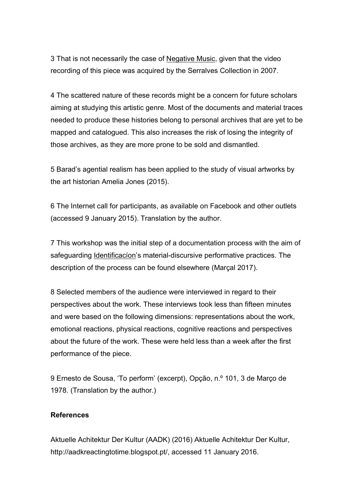3 That is not necessarily the case of Negative Music, given that the video recording of this piece was acquired by the Serralves Collection in 2007.

4 The scattered nature of these records might be a concern for future scholars aiming at studying this artistic genre. Most of the documents and material traces needed to produce these histories belong to personal archives that are yet to be mapped and catalogued. This also increases the risk of losing the integrity of those archives, as they are more prone to be sold and dismantled.

5 Barad's agential realism has been applied to the study of visual artworks by the art historian Amelia Jones (2015).

6 The Internet call for participants, as available on Facebook and other outlets (accessed 9 January 2015). Translation by the author.

7 This workshop was the initial step of a documentation process with the aim of safeguarding Identificacíon's material-discursive performative practices. The description of the process can be found elsewhere (Marçal 2017).

8 Selected members of the audience were interviewed in regard to their perspectives about the work. These interviews took less than fifteen minutes and were based on the following dimensions: representations about the work, emotional reactions, physical reactions, cognitive reactions and perspectives about the future of the work. These were held less than a week after the first performance of the piece.

9 Ernesto de Sousa, 'To perform' (excerpt), Opção, n.º 101, 3 de Março de 1978. (Translation by the author.)

### **References**

Aktuelle Achitektur Der Kultur (AADK) (2016) Aktuelle Achitektur Der Kultur, http://aadkreactingtotime.blogspot.pt/, accessed 11 January 2016.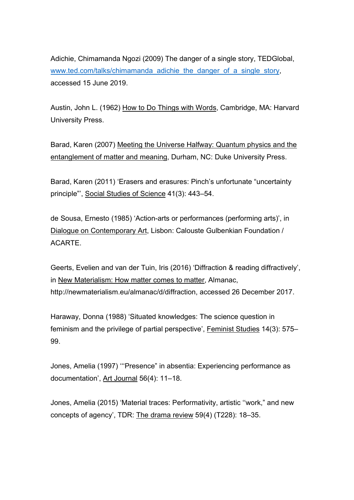Adichie, Chimamanda Ngozi (2009) The danger of a single story, TEDGlobal, www.ted.com/talks/chimamanda\_adichie\_the\_danger\_of\_a\_single\_story, accessed 15 June 2019.

Austin, John L. (1962) How to Do Things with Words, Cambridge, MA: Harvard University Press.

Barad, Karen (2007) Meeting the Universe Halfway: Quantum physics and the entanglement of matter and meaning, Durham, NC: Duke University Press.

Barad, Karen (2011) 'Erasers and erasures: Pinch's unfortunate "uncertainty principle"', Social Studies of Science 41(3): 443–54.

de Sousa, Ernesto (1985) 'Action-arts or performances (performing arts)', in Dialogue on Contemporary Art, Lisbon: Calouste Gulbenkian Foundation / ACARTE.

Geerts, Evelien and van der Tuin, Iris (2016) 'Diffraction & reading diffractively', in New Materialism: How matter comes to matter, Almanac, http://newmaterialism.eu/almanac/d/diffraction, accessed 26 December 2017.

Haraway, Donna (1988) 'Situated knowledges: The science question in feminism and the privilege of partial perspective', Feminist Studies 14(3): 575– 99.

Jones, Amelia (1997) '''Presence" in absentia: Experiencing performance as documentation', Art Journal 56(4): 11–18.

Jones, Amelia (2015) 'Material traces: Performativity, artistic ''work," and new concepts of agency', TDR: The drama review 59(4) (T228): 18–35.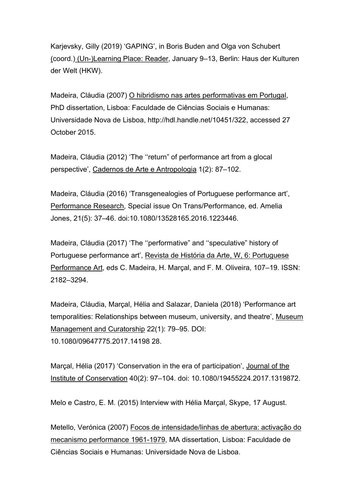Karjevsky, Gilly (2019) 'GAPING', in Boris Buden and Olga von Schubert (coord.) (Un-)Learning Place: Reader, January 9–13, Berlin: Haus der Kulturen der Welt (HKW).

Madeira, Cláudia (2007) O hibridismo nas artes performativas em Portugal, PhD dissertation, Lisboa: Faculdade de Ciências Sociais e Humanas: Universidade Nova de Lisboa, http://hdl.handle.net/10451/322, accessed 27 October 2015.

Madeira, Cláudia (2012) 'The ''return" of performance art from a glocal perspective', Cadernos de Arte e Antropologia 1(2): 87–102.

Madeira, Cláudia (2016) 'Transgenealogies of Portuguese performance art', Performance Research, Special issue On Trans/Performance, ed. Amelia Jones, 21(5): 37–46. doi:10.1080/13528165.2016.1223446.

Madeira, Cláudia (2017) 'The ''performative" and ''speculative" history of Portuguese performance art', Revista de História da Arte, W, 6: Portuguese Performance Art, eds C. Madeira, H. Marçal, and F. M. Oliveira, 107–19. ISSN: 2182–3294.

Madeira, Cláudia, Marçal, Hélia and Salazar, Daniela (2018) 'Performance art temporalities: Relationships between museum, university, and theatre', Museum Management and Curatorship 22(1): 79–95. DOI: 10.1080/09647775.2017.14198 28.

Marçal, Hélia (2017) 'Conservation in the era of participation', Journal of the Institute of Conservation 40(2): 97–104. doi: 10.1080/19455224.2017.1319872.

Melo e Castro, E. M. (2015) Interview with Hélia Marçal, Skype, 17 August.

Metello, Verónica (2007) Focos de intensidade/linhas de abertura: activação do mecanismo performance 1961-1979, MA dissertation, Lisboa: Faculdade de Ciências Sociais e Humanas: Universidade Nova de Lisboa.